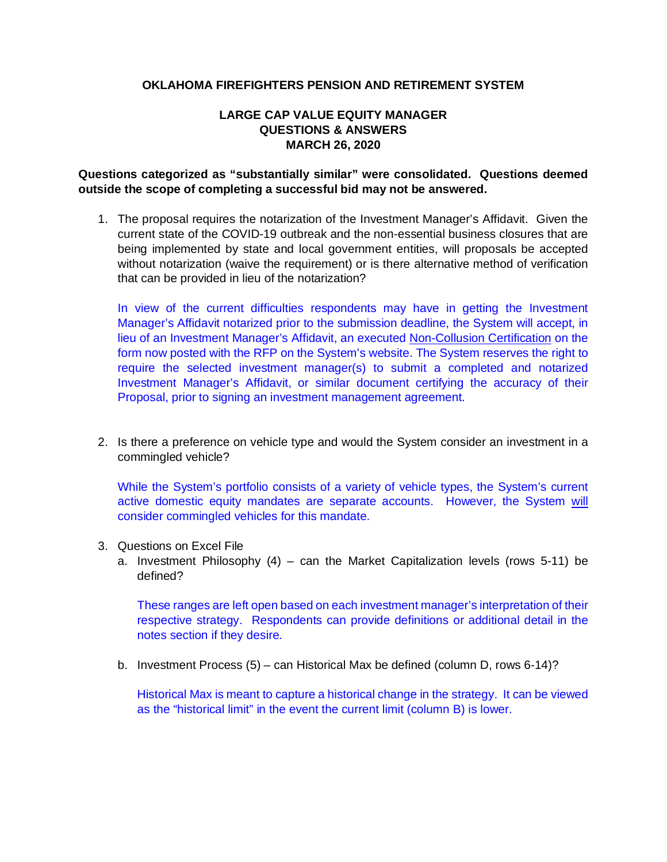## **OKLAHOMA FIREFIGHTERS PENSION AND RETIREMENT SYSTEM**

## **LARGE CAP VALUE EQUITY MANAGER QUESTIONS & ANSWERS MARCH 26, 2020**

## **Questions categorized as "substantially similar" were consolidated. Questions deemed outside the scope of completing a successful bid may not be answered.**

1. The proposal requires the notarization of the Investment Manager's Affidavit. Given the current state of the COVID-19 outbreak and the non-essential business closures that are being implemented by state and local government entities, will proposals be accepted without notarization (waive the requirement) or is there alternative method of verification that can be provided in lieu of the notarization?

In view of the current difficulties respondents may have in getting the Investment Manager's Affidavit notarized prior to the submission deadline, the System will accept, in lieu of an Investment Manager's Affidavit, an executed Non-Collusion Certification on the form now posted with the RFP on the System's website. The System reserves the right to require the selected investment manager(s) to submit a completed and notarized Investment Manager's Affidavit, or similar document certifying the accuracy of their Proposal, prior to signing an investment management agreement.

2. Is there a preference on vehicle type and would the System consider an investment in a commingled vehicle?

While the System's portfolio consists of a variety of vehicle types, the System's current active domestic equity mandates are separate accounts. However, the System will consider commingled vehicles for this mandate.

- 3. Questions on Excel File
	- a. Investment Philosophy (4) can the Market Capitalization levels (rows 5-11) be defined?

These ranges are left open based on each investment manager's interpretation of their respective strategy. Respondents can provide definitions or additional detail in the notes section if they desire.

b. Investment Process (5) – can Historical Max be defined (column D, rows 6-14)?

Historical Max is meant to capture a historical change in the strategy. It can be viewed as the "historical limit" in the event the current limit (column B) is lower.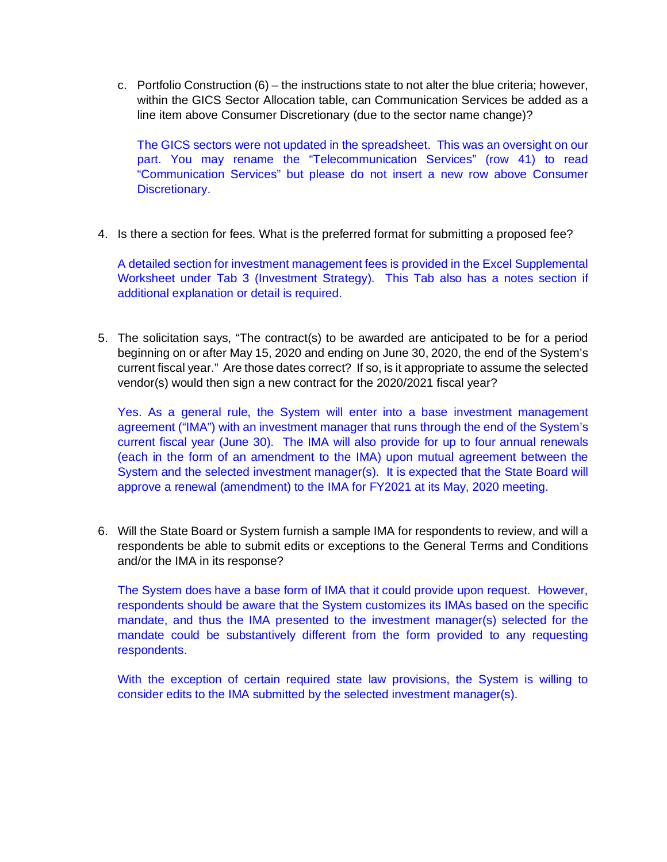c. Portfolio Construction (6) – the instructions state to not alter the blue criteria; however, within the GICS Sector Allocation table, can Communication Services be added as a line item above Consumer Discretionary (due to the sector name change)?

The GICS sectors were not updated in the spreadsheet. This was an oversight on our part. You may rename the "Telecommunication Services" (row 41) to read "Communication Services" but please do not insert a new row above Consumer Discretionary.

4. Is there a section for fees. What is the preferred format for submitting a proposed fee?

A detailed section for investment management fees is provided in the Excel Supplemental Worksheet under Tab 3 (Investment Strategy). This Tab also has a notes section if additional explanation or detail is required.

5. The solicitation says, "The contract(s) to be awarded are anticipated to be for a period beginning on or after May 15, 2020 and ending on June 30, 2020, the end of the System's current fiscal year." Are those dates correct? If so, is it appropriate to assume the selected vendor(s) would then sign a new contract for the 2020/2021 fiscal year?

Yes. As a general rule, the System will enter into a base investment management agreement ("IMA") with an investment manager that runs through the end of the System's current fiscal year (June 30). The IMA will also provide for up to four annual renewals (each in the form of an amendment to the IMA) upon mutual agreement between the System and the selected investment manager(s). It is expected that the State Board will approve a renewal (amendment) to the IMA for FY2021 at its May, 2020 meeting.

6. Will the State Board or System furnish a sample IMA for respondents to review, and will a respondents be able to submit edits or exceptions to the General Terms and Conditions and/or the IMA in its response?

The System does have a base form of IMA that it could provide upon request. However, respondents should be aware that the System customizes its IMAs based on the specific mandate, and thus the IMA presented to the investment manager(s) selected for the mandate could be substantively different from the form provided to any requesting respondents.

With the exception of certain required state law provisions, the System is willing to consider edits to the IMA submitted by the selected investment manager(s).